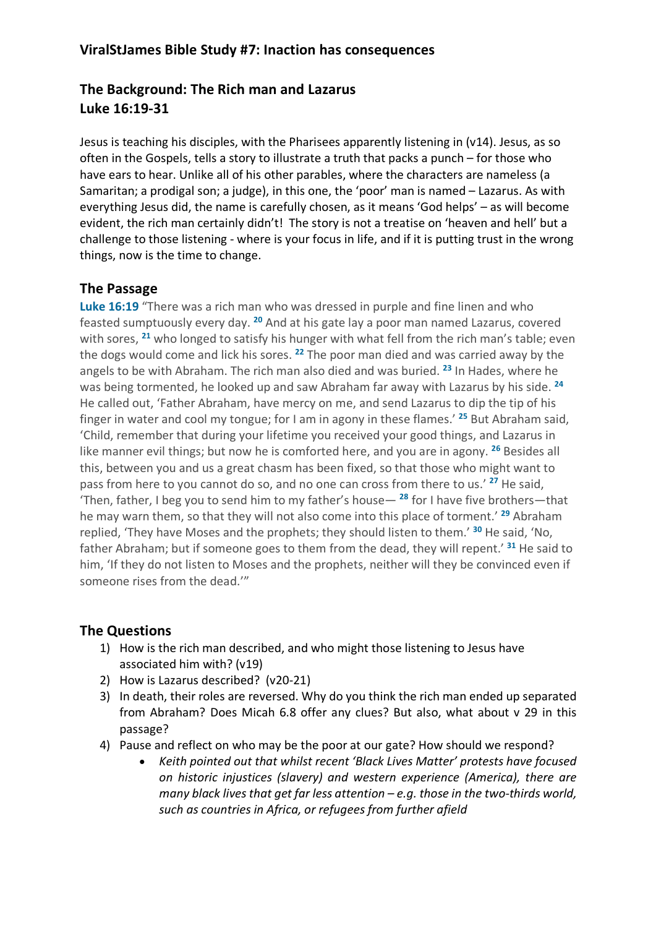### **ViralStJames Bible Study #7: Inaction has consequences**

# **The Background: The Rich man and Lazarus Luke 16:19-31**

Jesus is teaching his disciples, with the Pharisees apparently listening in (v14). Jesus, as so often in the Gospels, tells a story to illustrate a truth that packs a punch – for those who have ears to hear. Unlike all of his other parables, where the characters are nameless (a Samaritan; a prodigal son; a judge), in this one, the 'poor' man is named – Lazarus. As with everything Jesus did, the name is carefully chosen, as it means 'God helps' – as will become evident, the rich man certainly didn't! The story is not a treatise on 'heaven and hell' but a challenge to those listening - where is your focus in life, and if it is putting trust in the wrong things, now is the time to change.

## **The Passage**

**Luke 16:19** "There was a rich man who was dressed in purple and fine linen and who feasted sumptuously every day. **<sup>20</sup>** And at his gate lay a poor man named Lazarus, covered with sores, **<sup>21</sup>** who longed to satisfy his hunger with what fell from the rich man's table; even the dogs would come and lick his sores. **<sup>22</sup>** The poor man died and was carried away by the angels to be with Abraham. The rich man also died and was buried. **<sup>23</sup>** In Hades, where he was being tormented, he looked up and saw Abraham far away with Lazarus by his side. **<sup>24</sup>** He called out, 'Father Abraham, have mercy on me, and send Lazarus to dip the tip of his finger in water and cool my tongue; for I am in agony in these flames.' **<sup>25</sup>** But Abraham said, 'Child, remember that during your lifetime you received your good things, and Lazarus in like manner evil things; but now he is comforted here, and you are in agony. **<sup>26</sup>** Besides all this, between you and us a great chasm has been fixed, so that those who might want to pass from here to you cannot do so, and no one can cross from there to us.' **<sup>27</sup>** He said, 'Then, father, I beg you to send him to my father's house— **<sup>28</sup>** for I have five brothers—that he may warn them, so that they will not also come into this place of torment.' **<sup>29</sup>** Abraham replied, 'They have Moses and the prophets; they should listen to them.' **<sup>30</sup>** He said, 'No, father Abraham; but if someone goes to them from the dead, they will repent.' **<sup>31</sup>** He said to him, 'If they do not listen to Moses and the prophets, neither will they be convinced even if someone rises from the dead.'"

#### **The Questions**

- 1) How is the rich man described, and who might those listening to Jesus have associated him with? (v19)
- 2) How is Lazarus described? (v20-21)
- 3) In death, their roles are reversed. Why do you think the rich man ended up separated from Abraham? Does Micah 6.8 offer any clues? But also, what about v 29 in this passage?
- 4) Pause and reflect on who may be the poor at our gate? How should we respond?
	- *Keith pointed out that whilst recent 'Black Lives Matter' protests have focused on historic injustices (slavery) and western experience (America), there are many black lives that get far less attention – e.g. those in the two-thirds world, such as countries in Africa, or refugees from further afield*